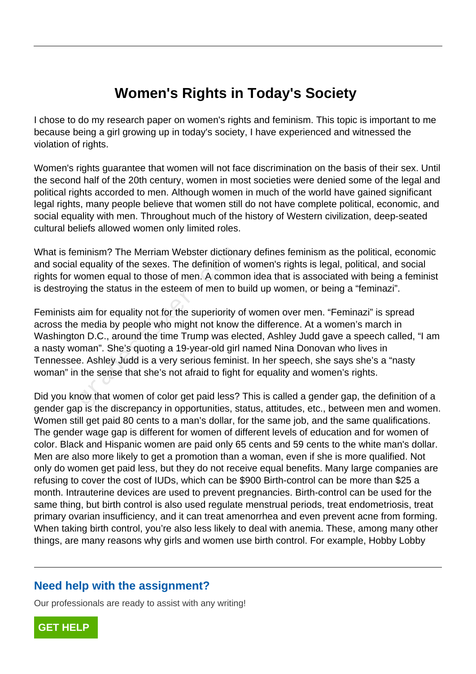# **Women's Rights in Today's Society**

I chose to do my research paper on women's rights and feminism. This topic is important to me because being a girl growing up in today's society, I have experienced and witnessed the violation of rights.

Women's rights guarantee that women will not face discrimination on the basis of their sex. Until the second half of the 20th century, women in most societies were denied some of the legal and political rights accorded to men. Although women in much of the world have gained significant legal rights, many people believe that women still do not have complete political, economic, and social equality with men. Throughout much of the history of Western civilization, deep-seated cultural beliefs allowed women only limited roles.

What is feminism? The Merriam Webster dictionary defines feminism as the political, economic and social equality of the sexes. The definition of women's rights is legal, political, and social rights for women equal to those of men. A common idea that is associated with being a feminist is destroying the status in the esteem of men to build up women, or being a "feminazi".

Feminists aim for equality not for the superiority of women over men. "Feminazi" is spread across the media by people who might not know the difference. At a women's march in Washington D.C., around the time Trump was elected, Ashley Judd gave a speech called, "I am a nasty woman". She's quoting a 19-year-old girl named Nina Donovan who lives in Tennessee. Ashley Judd is a very serious feminist. In her speech, she says she's a "nasty woman" in the sense that she's not afraid to fight for equality and women's rights. minism? The Merriam Webster dictiona<br>equality of the sexes. The definition of<br>vomen equal to those of men. A comme<br>mg the status in the esteem of men to b<br>aim for equality not for the superiority c<br>media by people who migh

Did you know that women of color get paid less? This is called a gender gap, the definition of a gender gap is the discrepancy in opportunities, status, attitudes, etc., between men and women. Women still get paid 80 cents to a man's dollar, for the same job, and the same qualifications. The gender wage gap is different for women of different levels of education and for women of color. Black and Hispanic women are paid only 65 cents and 59 cents to the white man's dollar. Men are also more likely to get a promotion than a woman, even if she is more qualified. Not only do women get paid less, but they do not receive equal benefits. Many large companies are refusing to cover the cost of IUDs, which can be \$900 Birth-control can be more than \$25 a month. Intrauterine devices are used to prevent pregnancies. Birth-control can be used for the same thing, but birth control is also used regulate menstrual periods, treat endometriosis, treat primary ovarian insufficiency, and it can treat amenorrhea and even prevent acne from forming. When taking birth control, you're also less likely to deal with anemia. These, among many other things, are many reasons why girls and women use birth control. For example, Hobby Lobby

### **Need help with the assignment?**

Our professionals are ready to assist with any writing!

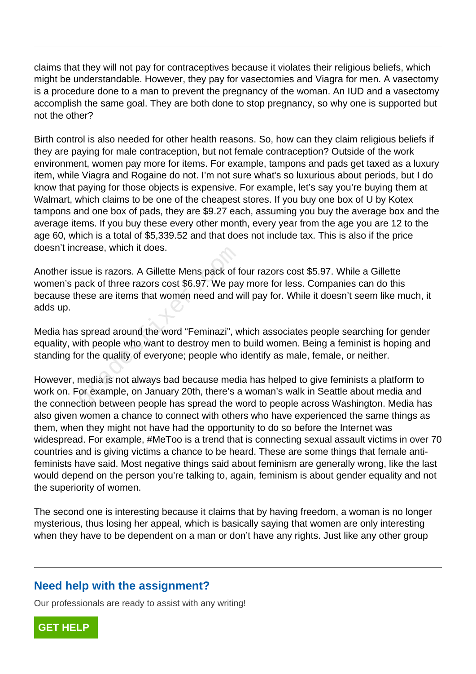claims that they will not pay for contraceptives because it violates their religious beliefs, which might be understandable. However, they pay for vasectomies and Viagra for men. A vasectomy is a procedure done to a man to prevent the pregnancy of the woman. An IUD and a vasectomy accomplish the same goal. They are both done to stop pregnancy, so why one is supported but not the other?

Birth control is also needed for other health reasons. So, how can they claim religious beliefs if they are paying for male contraception, but not female contraception? Outside of the work environment, women pay more for items. For example, tampons and pads get taxed as a luxury item, while Viagra and Rogaine do not. I'm not sure what's so luxurious about periods, but I do know that paying for those objects is expensive. For example, let's say you're buying them at Walmart, which claims to be one of the cheapest stores. If you buy one box of U by Kotex tampons and one box of pads, they are \$9.27 each, assuming you buy the average box and the average items. If you buy these every other month, every year from the age you are 12 to the age 60, which is a total of \$5,339.52 and that does not include tax. This is also if the price doesn't increase, which it does.

Another issue is razors. A Gillette Mens pack of four razors cost \$5.97. While a Gillette women's pack of three razors cost \$6.97. We pay more for less. Companies can do this because these are items that women need and will pay for. While it doesn't seem like much, it adds up. Stease, which it does.<br>
Sue is razors. A Gillette Mens pack of f<br>
hack of three razors cost \$6.97. We pay<br>
nese are items that women need and w<br>
spread around the word "Feminazi", w<br>
spread around the word "Feminazi", w<br>
s

Media has spread around the word "Feminazi", which associates people searching for gender equality, with people who want to destroy men to build women. Being a feminist is hoping and standing for the quality of everyone; people who identify as male, female, or neither.

However, media is not always bad because media has helped to give feminists a platform to work on. For example, on January 20th, there's a woman's walk in Seattle about media and the connection between people has spread the word to people across Washington. Media has also given women a chance to connect with others who have experienced the same things as them, when they might not have had the opportunity to do so before the Internet was widespread. For example, #MeToo is a trend that is connecting sexual assault victims in over 70 countries and is giving victims a chance to be heard. These are some things that female antifeminists have said. Most negative things said about feminism are generally wrong, like the last would depend on the person you're talking to, again, feminism is about gender equality and not the superiority of women.

The second one is interesting because it claims that by having freedom, a woman is no longer mysterious, thus losing her appeal, which is basically saying that women are only interesting when they have to be dependent on a man or don't have any rights. Just like any other group

### **Need help with the assignment?**

Our professionals are ready to assist with any writing!

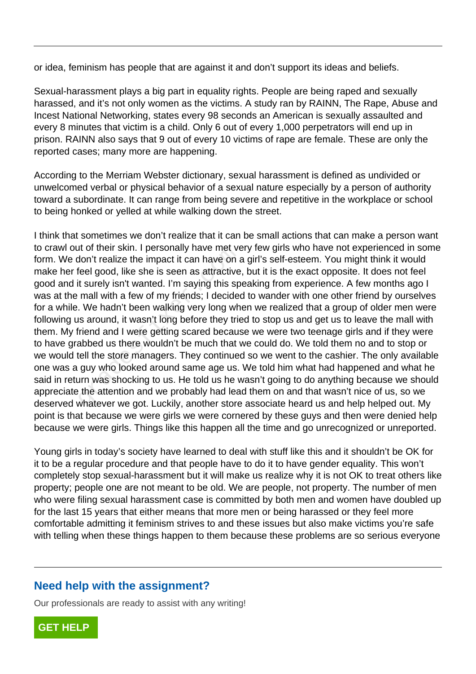or idea, feminism has people that are against it and don't support its ideas and beliefs.

Sexual-harassment plays a big part in equality rights. People are being raped and sexually harassed, and it's not only women as the victims. A study ran by RAINN, The Rape, Abuse and Incest National Networking, states every 98 seconds an American is sexually assaulted and every 8 minutes that victim is a child. Only 6 out of every 1,000 perpetrators will end up in prison. RAINN also says that 9 out of every 10 victims of rape are female. These are only the reported cases; many more are happening.

According to the Merriam Webster dictionary, sexual harassment is defined as undivided or unwelcomed verbal or physical behavior of a sexual nature especially by a person of authority toward a subordinate. It can range from being severe and repetitive in the workplace or school to being honked or yelled at while walking down the street.

I think that sometimes we don't realize that it can be small actions that can make a person want to crawl out of their skin. I personally have met very few girls who have not experienced in some form. We don't realize the impact it can have on a girl's self-esteem. You might think it would make her feel good, like she is seen as attractive, but it is the exact opposite. It does not feel good and it surely isn't wanted. I'm saying this speaking from experience. A few months ago I was at the mall with a few of my friends; I decided to wander with one other friend by ourselves for a while. We hadn't been walking very long when we realized that a group of older men were following us around, it wasn't long before they tried to stop us and get us to leave the mall with them. My friend and I were getting scared because we were two teenage girls and if they were to have grabbed us there wouldn't be much that we could do. We told them no and to stop or we would tell the store managers. They continued so we went to the cashier. The only available one was a guy who looked around same age us. We told him what had happened and what he said in return was shocking to us. He told us he wasn't going to do anything because we should appreciate the attention and we probably had lead them on and that wasn't nice of us, so we deserved whatever we got. Luckily, another store associate heard us and help helped out. My point is that because we were girls we were cornered by these guys and then were denied help because we were girls. Things like this happen all the time and go unrecognized or unreported. It of their skin. I personally have fret ve<br>don't realize the impact it can have on a<br>feel good, like she is seen as attractive<br>it surely isn't wanted. I'm saying this sp<br>mall with a few of my friends; I decided<br>. We hadn'

Young girls in today's society have learned to deal with stuff like this and it shouldn't be OK for it to be a regular procedure and that people have to do it to have gender equality. This won't completely stop sexual-harassment but it will make us realize why it is not OK to treat others like property; people one are not meant to be old. We are people, not property. The number of men who were filing sexual harassment case is committed by both men and women have doubled up for the last 15 years that either means that more men or being harassed or they feel more comfortable admitting it feminism strives to and these issues but also make victims you're safe with telling when these things happen to them because these problems are so serious everyone

### **Need help with the assignment?**

Our professionals are ready to assist with any writing!

**[GET HELP](https://my.gradesfixer.com/order?utm_campaign=pdf_sample)**